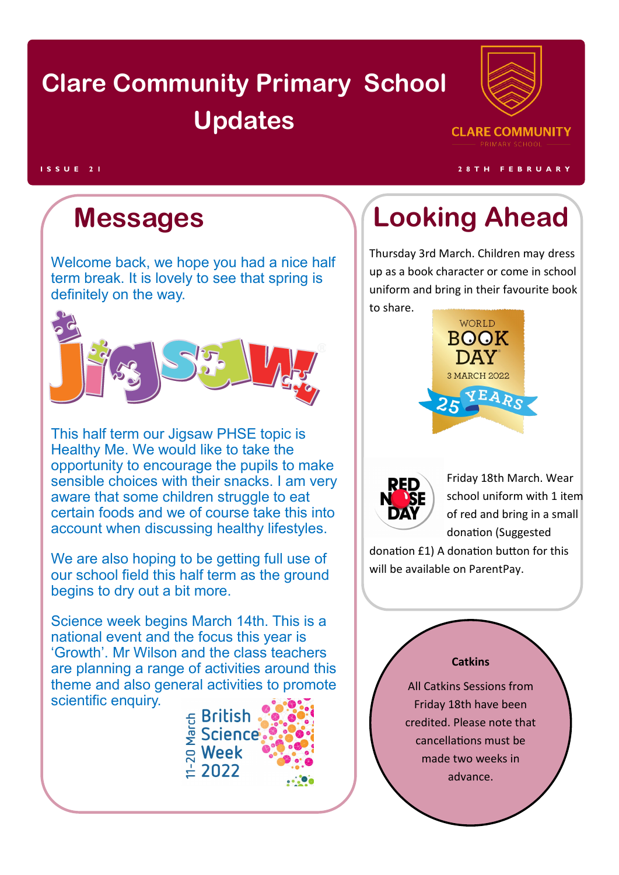## **Clare Community Primary School Updates**



**I S S U E 2 1 2 8 T H F E B R U A R Y**

Welcome back, we hope you had a nice half term break. It is lovely to see that spring is definitely on the way.



This half term our Jigsaw PHSE topic is Healthy Me. We would like to take the opportunity to encourage the pupils to make sensible choices with their snacks. I am very aware that some children struggle to eat certain foods and we of course take this into account when discussing healthy lifestyles.

We are also hoping to be getting full use of our school field this half term as the ground begins to dry out a bit more.

Science week begins March 14th. This is a national event and the focus this year is 'Growth'. Mr Wilson and the class teachers are planning a range of activities around this theme and also general activities to promote scientific enquiry.



## **Messages Looking Ahead**

Thursday 3rd March. Children may dress up as a book character or come in school uniform and bring in their favourite book to share.





Friday 18th March. Wear school uniform with 1 item of red and bring in a small donation (Suggested

donation £1) A donation button for this will be available on ParentPay.

### **Catkins**

All Catkins Sessions from Friday 18th have been credited. Please note that cancellations must be made two weeks in advance.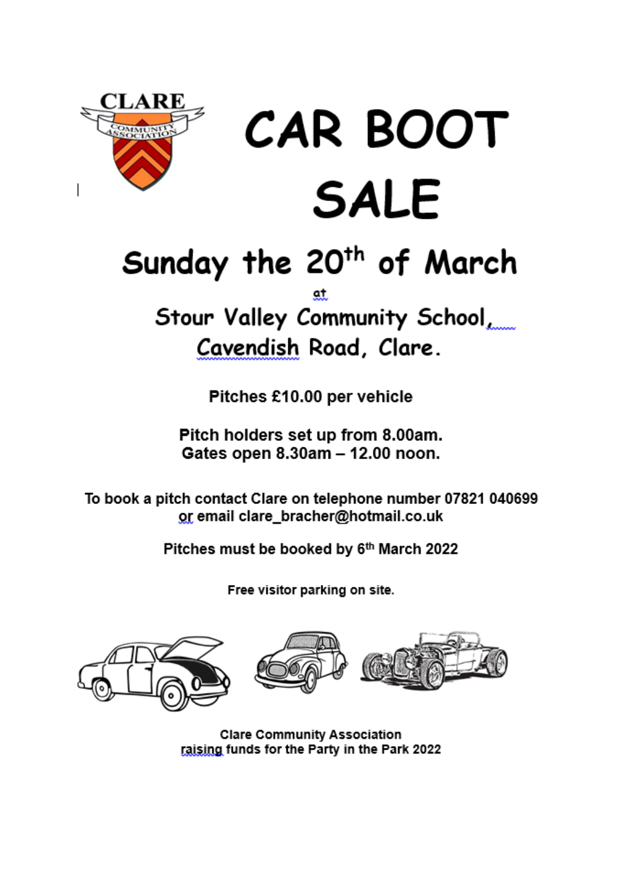

# **CAR BOOT SALE**

# Sunday the 20<sup>th</sup> of March

Stour Valley Community School Cavendish Road, Clare.

Pitches £10.00 per vehicle

Pitch holders set up from 8.00am. Gates open 8.30am - 12.00 noon.

To book a pitch contact Clare on telephone number 07821 040699 or email clare\_bracher@hotmail.co.uk

Pitches must be booked by 6th March 2022

Free visitor parking on site.





**Clare Community Association** raising funds for the Party in the Park 2022